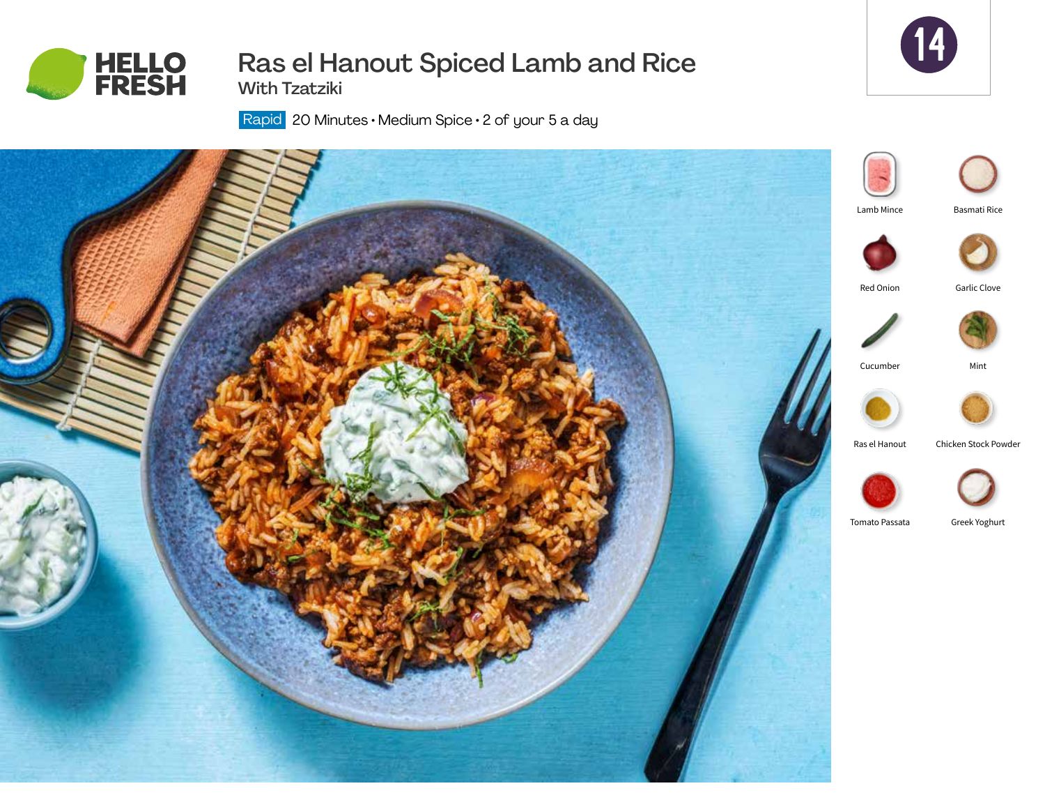

# Ras el Hanout Spiced Lamb and Rice

14

With Tzatziki

Rapid | 20 Minutes • Medium Spice • 2 of your 5 a day